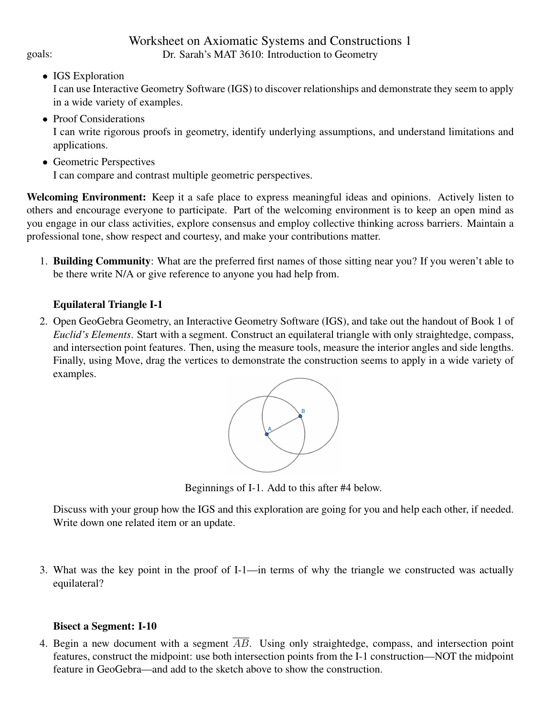• IGS Exploration

I can use Interactive Geometry Software (IGS) to discover relationships and demonstrate they seem to apply in a wide variety of examples.

- Proof Considerations I can write rigorous proofs in geometry, identify underlying assumptions, and understand limitations and applications.
- Geometric Perspectives

I can compare and contrast multiple geometric perspectives.

Welcoming Environment: Keep it a safe place to express meaningful ideas and opinions. Actively listen to others and encourage everyone to participate. Part of the welcoming environment is to keep an open mind as you engage in our class activities, explore consensus and employ collective thinking across barriers. Maintain a professional tone, show respect and courtesy, and make your contributions matter.

1. Building Community: What are the preferred first names of those sitting near you? If you weren't able to be there write N/A or give reference to anyone you had help from.

## Equilateral Triangle I-1

2. Open GeoGebra Geometry, an Interactive Geometry Software (IGS), and take out the handout of Book 1 of *Euclid's Elements*. Start with a segment. Construct an equilateral triangle with only straightedge, compass, and intersection point features. Then, using the measure tools, measure the interior angles and side lengths. Finally, using Move, drag the vertices to demonstrate the construction seems to apply in a wide variety of examples.



Beginnings of I-1. Add to this after #4 below.

Discuss with your group how the IGS and this exploration are going for you and help each other, if needed. Write down one related item or an update.

3. What was the key point in the proof of I-1—in terms of why the triangle we constructed was actually equilateral?

## Bisect a Segment: I-10

4. Begin a new document with a segment  $\overline{AB}$ . Using only straightedge, compass, and intersection point features, construct the midpoint: use both intersection points from the I-1 construction—NOT the midpoint feature in GeoGebra—and add to the sketch above to show the construction.